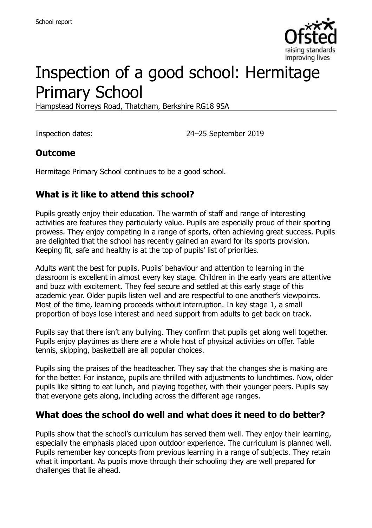

# Inspection of a good school: Hermitage Primary School

Hampstead Norreys Road, Thatcham, Berkshire RG18 9SA

Inspection dates: 24–25 September 2019

#### **Outcome**

Hermitage Primary School continues to be a good school.

### **What is it like to attend this school?**

Pupils greatly enjoy their education. The warmth of staff and range of interesting activities are features they particularly value. Pupils are especially proud of their sporting prowess. They enjoy competing in a range of sports, often achieving great success. Pupils are delighted that the school has recently gained an award for its sports provision. Keeping fit, safe and healthy is at the top of pupils' list of priorities.

Adults want the best for pupils. Pupils' behaviour and attention to learning in the classroom is excellent in almost every key stage. Children in the early years are attentive and buzz with excitement. They feel secure and settled at this early stage of this academic year. Older pupils listen well and are respectful to one another's viewpoints. Most of the time, learning proceeds without interruption. In key stage 1, a small proportion of boys lose interest and need support from adults to get back on track.

Pupils say that there isn't any bullying. They confirm that pupils get along well together. Pupils enjoy playtimes as there are a whole host of physical activities on offer. Table tennis, skipping, basketball are all popular choices.

Pupils sing the praises of the headteacher. They say that the changes she is making are for the better. For instance, pupils are thrilled with adjustments to lunchtimes. Now, older pupils like sitting to eat lunch, and playing together, with their younger peers. Pupils say that everyone gets along, including across the different age ranges.

#### **What does the school do well and what does it need to do better?**

Pupils show that the school's curriculum has served them well. They enjoy their learning, especially the emphasis placed upon outdoor experience. The curriculum is planned well. Pupils remember key concepts from previous learning in a range of subjects. They retain what it important. As pupils move through their schooling they are well prepared for challenges that lie ahead.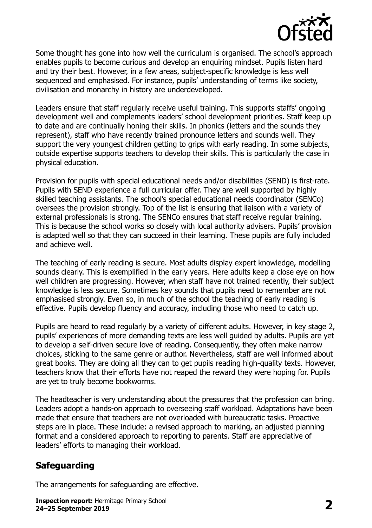

Some thought has gone into how well the curriculum is organised. The school's approach enables pupils to become curious and develop an enquiring mindset. Pupils listen hard and try their best. However, in a few areas, subject-specific knowledge is less well sequenced and emphasised. For instance, pupils' understanding of terms like society, civilisation and monarchy in history are underdeveloped.

Leaders ensure that staff regularly receive useful training. This supports staffs' ongoing development well and complements leaders' school development priorities. Staff keep up to date and are continually honing their skills. In phonics (letters and the sounds they represent), staff who have recently trained pronounce letters and sounds well. They support the very youngest children getting to grips with early reading. In some subjects, outside expertise supports teachers to develop their skills. This is particularly the case in physical education.

Provision for pupils with special educational needs and/or disabilities (SEND) is first-rate. Pupils with SEND experience a full curricular offer. They are well supported by highly skilled teaching assistants. The school's special educational needs coordinator (SENCo) oversees the provision strongly. Top of the list is ensuring that liaison with a variety of external professionals is strong. The SENCo ensures that staff receive regular training. This is because the school works so closely with local authority advisers. Pupils' provision is adapted well so that they can succeed in their learning. These pupils are fully included and achieve well.

The teaching of early reading is secure. Most adults display expert knowledge, modelling sounds clearly. This is exemplified in the early years. Here adults keep a close eye on how well children are progressing. However, when staff have not trained recently, their subject knowledge is less secure. Sometimes key sounds that pupils need to remember are not emphasised strongly. Even so, in much of the school the teaching of early reading is effective. Pupils develop fluency and accuracy, including those who need to catch up.

Pupils are heard to read regularly by a variety of different adults. However, in key stage 2, pupils' experiences of more demanding texts are less well guided by adults. Pupils are yet to develop a self-driven secure love of reading. Consequently, they often make narrow choices, sticking to the same genre or author. Nevertheless, staff are well informed about great books. They are doing all they can to get pupils reading high-quality texts. However, teachers know that their efforts have not reaped the reward they were hoping for. Pupils are yet to truly become bookworms.

The headteacher is very understanding about the pressures that the profession can bring. Leaders adopt a hands-on approach to overseeing staff workload. Adaptations have been made that ensure that teachers are not overloaded with bureaucratic tasks. Proactive steps are in place. These include: a revised approach to marking, an adjusted planning format and a considered approach to reporting to parents. Staff are appreciative of leaders' efforts to managing their workload.

#### **Safeguarding**

The arrangements for safeguarding are effective.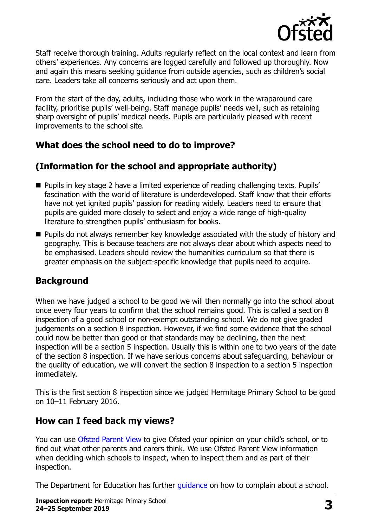

Staff receive thorough training. Adults regularly reflect on the local context and learn from others' experiences. Any concerns are logged carefully and followed up thoroughly. Now and again this means seeking guidance from outside agencies, such as children's social care. Leaders take all concerns seriously and act upon them.

From the start of the day, adults, including those who work in the wraparound care facility, prioritise pupils' well-being. Staff manage pupils' needs well, such as retaining sharp oversight of pupils' medical needs. Pupils are particularly pleased with recent improvements to the school site.

# **What does the school need to do to improve?**

# **(Information for the school and appropriate authority)**

- Pupils in key stage 2 have a limited experience of reading challenging texts. Pupils' fascination with the world of literature is underdeveloped. Staff know that their efforts have not yet ignited pupils' passion for reading widely. Leaders need to ensure that pupils are guided more closely to select and enjoy a wide range of high-quality literature to strengthen pupils' enthusiasm for books.
- **Pupils do not always remember key knowledge associated with the study of history and** geography. This is because teachers are not always clear about which aspects need to be emphasised. Leaders should review the humanities curriculum so that there is greater emphasis on the subject-specific knowledge that pupils need to acquire.

#### **Background**

When we have judged a school to be good we will then normally go into the school about once every four years to confirm that the school remains good. This is called a section 8 inspection of a good school or non-exempt outstanding school. We do not give graded judgements on a section 8 inspection. However, if we find some evidence that the school could now be better than good or that standards may be declining, then the next inspection will be a section 5 inspection. Usually this is within one to two years of the date of the section 8 inspection. If we have serious concerns about safeguarding, behaviour or the quality of education, we will convert the section 8 inspection to a section 5 inspection immediately.

This is the first section 8 inspection since we judged Hermitage Primary School to be good on 10–11 February 2016.

#### **How can I feed back my views?**

You can use [Ofsted Parent View](https://parentview.ofsted.gov.uk/) to give Ofsted your opinion on your child's school, or to find out what other parents and carers think. We use Ofsted Parent View information when deciding which schools to inspect, when to inspect them and as part of their inspection.

The Department for Education has further [guidance](http://www.gov.uk/complain-about-school) on how to complain about a school.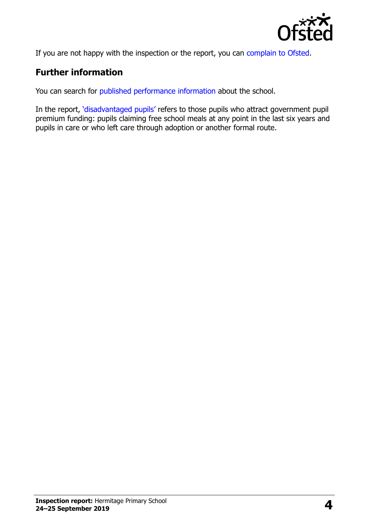

If you are not happy with the inspection or the report, you can [complain to Ofsted.](https://www.gov.uk/complain-ofsted-report)

# **Further information**

You can search for [published performance information](http://www.compare-school-performance.service.gov.uk/) about the school.

In the report, '[disadvantaged pupils](http://www.gov.uk/guidance/pupil-premium-information-for-schools-and-alternative-provision-settings)' refers to those pupils who attract government pupil premium funding: pupils claiming free school meals at any point in the last six years and pupils in care or who left care through adoption or another formal route.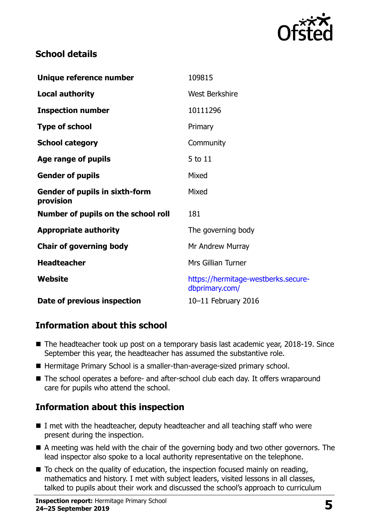

### **School details**

| Unique reference number                            | 109815                                                |
|----------------------------------------------------|-------------------------------------------------------|
| <b>Local authority</b>                             | <b>West Berkshire</b>                                 |
| <b>Inspection number</b>                           | 10111296                                              |
| <b>Type of school</b>                              | Primary                                               |
| <b>School category</b>                             | Community                                             |
| Age range of pupils                                | 5 to 11                                               |
| <b>Gender of pupils</b>                            | Mixed                                                 |
| <b>Gender of pupils in sixth-form</b><br>provision | Mixed                                                 |
| Number of pupils on the school roll                | 181                                                   |
| <b>Appropriate authority</b>                       | The governing body                                    |
| <b>Chair of governing body</b>                     | Mr Andrew Murray                                      |
| <b>Headteacher</b>                                 | <b>Mrs Gillian Turner</b>                             |
| <b>Website</b>                                     | https://hermitage-westberks.secure-<br>dbprimary.com/ |
| Date of previous inspection                        | 10-11 February 2016                                   |

# **Information about this school**

- The headteacher took up post on a temporary basis last academic year, 2018-19. Since September this year, the headteacher has assumed the substantive role.
- Hermitage Primary School is a smaller-than-average-sized primary school.
- The school operates a before- and after-school club each day. It offers wraparound care for pupils who attend the school.

# **Information about this inspection**

- I met with the headteacher, deputy headteacher and all teaching staff who were present during the inspection.
- A meeting was held with the chair of the governing body and two other governors. The lead inspector also spoke to a local authority representative on the telephone.
- $\blacksquare$  To check on the quality of education, the inspection focused mainly on reading, mathematics and history. I met with subject leaders, visited lessons in all classes, talked to pupils about their work and discussed the school's approach to curriculum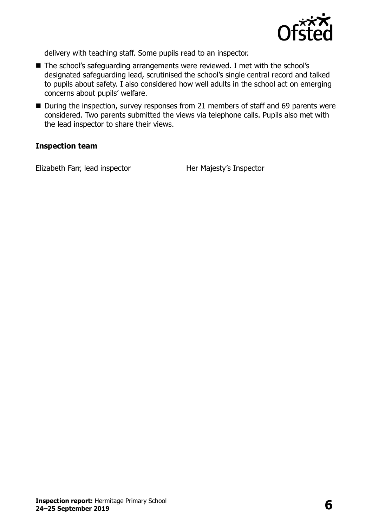

delivery with teaching staff. Some pupils read to an inspector.

- The school's safeguarding arrangements were reviewed. I met with the school's designated safeguarding lead, scrutinised the school's single central record and talked to pupils about safety. I also considered how well adults in the school act on emerging concerns about pupils' welfare.
- During the inspection, survey responses from 21 members of staff and 69 parents were considered. Two parents submitted the views via telephone calls. Pupils also met with the lead inspector to share their views.

#### **Inspection team**

Elizabeth Farr, lead inspector Her Majesty's Inspector